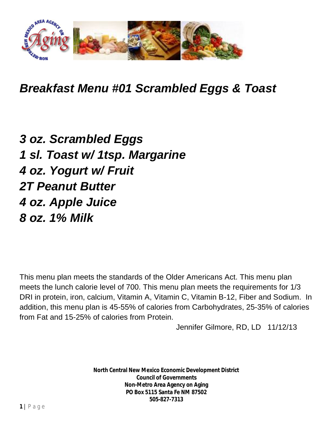

*Breakfast Menu #01 Scrambled Eggs & Toast*

*3 oz. Scrambled Eggs 1 sl. Toast w/ 1tsp. Margarine 4 oz. Yogurt w/ Fruit 2T Peanut Butter 4 oz. Apple Juice 8 oz. 1% Milk*

This menu plan meets the standards of the Older Americans Act. This menu plan meets the lunch calorie level of 700. This menu plan meets the requirements for 1/3 DRI in protein, iron, calcium, Vitamin A, Vitamin C, Vitamin B-12, Fiber and Sodium. In addition, this menu plan is 45-55% of calories from Carbohydrates, 25-35% of calories from Fat and 15-25% of calories from Protein.

Jennifer Gilmore, RD, LD 11/12/13

**North Central New Mexico Economic Development District Council of Governments Non-Metro Area Agency on Aging PO Box 5115 Santa Fe NM 87502 505-827-7313**